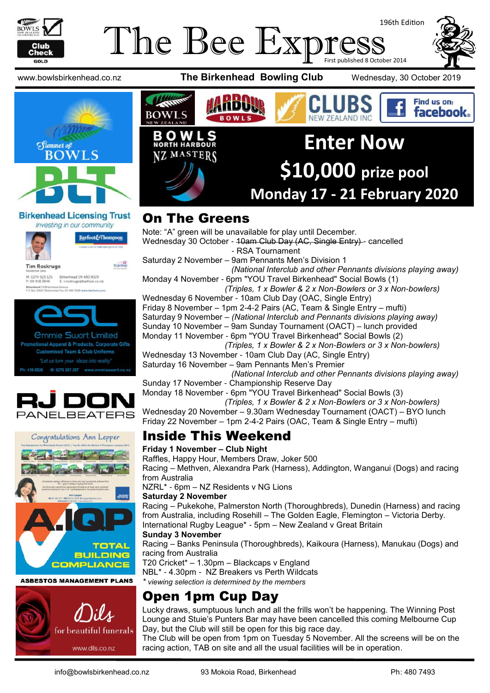

#### The Bee Expi 196th Edition First published 8 October 2014

www.bowlsbirkenhead.co.nz **The Birkenhead Bowling Club** Wednesday, 30 October 2019



#### **Birkenhead Licensing Trust**



*<u>Ommie Swart Limited</u>* otional Apparel & Products, Corporate Gifts **Customised Team & Club Uniforms** M: 0275 297-297 www.emmieswart.co.n





**ASBESTOS MANAGEMENT PLANS** 





#### On The Greens

Note: "A" green will be unavailable for play until December. Wednesday 30 October - 10am Club Day (AC, Single Entry) - cancelled - RSA Tournament Saturday 2 November – 9am Pennants Men's Division 1

*(National Interclub and other Pennants divisions playing away)* Monday 4 November - 6pm "YOU Travel Birkenhead" Social Bowls (1)

*(Triples, 1 x Bowler & 2 x Non-Bowlers or 3 x Non-bowlers)*

Wednesday 6 November - 10am Club Day (OAC, Single Entry) Friday 8 November – 1pm 2-4-2 Pairs (AC, Team & Single Entry – mufti) Saturday 9 November – *(National Interclub and Pennants divisions playing away)* Sunday 10 November – 9am Sunday Tournament (OACT) – lunch provided Monday 11 November - 6pm "YOU Travel Birkenhead" Social Bowls (2)

*(Triples, 1 x Bowler & 2 x Non-Bowlers or 3 x Non-bowlers)*

Wednesday 13 November - 10am Club Day (AC, Single Entry) Saturday 16 November – 9am Pennants Men's Premier

*(National Interclub and other Pennants divisions playing away)* Sunday 17 November - Championship Reserve Day

Monday 18 November - 6pm "YOU Travel Birkenhead" Social Bowls (3)

 *(Triples, 1 x Bowler & 2 x Non-Bowlers or 3 x Non-bowlers)* Wednesday 20 November – 9.30am Wednesday Tournament (OACT) – BYO lunch

Friday 22 November – 1pm 2-4-2 Pairs (OAC, Team & Single Entry – mufti)

#### Inside This Weekend

#### **Friday 1 November – Club Night**

Raffles, Happy Hour, Members Draw, Joker 500

Racing – Methven, Alexandra Park (Harness), Addington, Wanganui (Dogs) and racing from Australia

NZRL\* - 6pm – NZ Residents v NG Lions

#### **Saturday 2 November**

Racing – Pukekohe, Palmerston North (Thoroughbreds), Dunedin (Harness) and racing from Australia, including Rosehill – The Golden Eagle, Flemington – Victoria Derby. International Rugby League\* - 5pm – New Zealand v Great Britain

#### **Sunday 3 November**

Racing – Banks Peninsula (Thoroughbreds), Kaikoura (Harness), Manukau (Dogs) and racing from Australia

T20 Cricket\* – 1.30pm – Blackcaps v England

NBL\* - 4.30pm - NZ Breakers vs Perth Wildcats

*\* viewing selection is determined by the members*

## Open 1pm Cup Day

Lucky draws, sumptuous lunch and all the frills won't be happening. The Winning Post Lounge and Stuie's Punters Bar may have been cancelled this coming Melbourne Cup Day, but the Club will still be open for this big race day.

The Club will be open from 1pm on Tuesday 5 November. All the screens will be on the racing action, TAB on site and all the usual facilities will be in operation.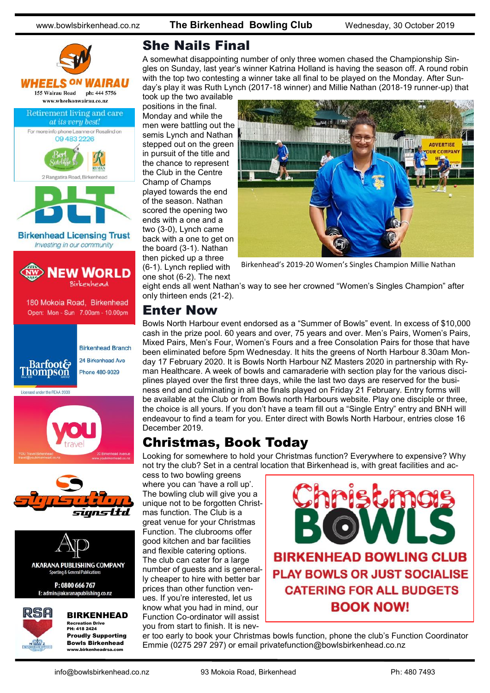





#### BIRKENHEAD

Recreation Drive PH: 418 2424 Proudly Supporting Bowls Birkenhead www.birkenheadrsa.com

#### She Nails Final

A somewhat disappointing number of only three women chased the Championship Singles on Sunday, last year's winner Katrina Holland is having the season off. A round robin with the top two contesting a winner take all final to be played on the Monday. After Sunday's play it was Ruth Lynch (2017-18 winner) and Millie Nathan (2018-19 runner-up) that

took up the two available positions in the final. Monday and while the men were battling out the semis Lynch and Nathan stepped out on the green in pursuit of the title and the chance to represent the Club in the Centre Champ of Champs played towards the end of the season. Nathan scored the opening two ends with a one and a two (3-0), Lynch came back with a one to get on the board (3-1). Nathan then picked up a three (6-1). Lynch replied with one shot (6-2). The next



Birkenhead's 2019-20 Women's Singles Champion Millie Nathan

eight ends all went Nathan's way to see her crowned "Women's Singles Champion" after only thirteen ends (21-2).

#### Enter Now

Bowls North Harbour event endorsed as a "Summer of Bowls" event. In excess of \$10,000 cash in the prize pool. 60 years and over, 75 years and over. Men's Pairs, Women's Pairs, Mixed Pairs, Men's Four, Women's Fours and a free Consolation Pairs for those that have been eliminated before 5pm Wednesday. It hits the greens of North Harbour 8.30am Monday 17 February 2020. It is Bowls North Harbour NZ Masters 2020 in partnership with Ryman Healthcare. A week of bowls and camaraderie with section play for the various disciplines played over the first three days, while the last two days are reserved for the business end and culminating in all the finals played on Friday 21 February. Entry forms will be available at the Club or from Bowls north Harbours website. Play one disciple or three, the choice is all yours. If you don't have a team fill out a "Single Entry" entry and BNH will endeavour to find a team for you. Enter direct with Bowls North Harbour, entries close 16 December 2019.

#### Christmas, Book Today

Looking for somewhere to hold your Christmas function? Everywhere to expensive? Why not try the club? Set in a central location that Birkenhead is, with great facilities and ac-

cess to two bowling greens where you can 'have a roll up'. The bowling club will give you a unique not to be forgotten Christmas function. The Club is a great venue for your Christmas Function. The clubrooms offer good kitchen and bar facilities and flexible catering options. The club can cater for a large number of guests and is generally cheaper to hire with better bar prices than other function venues. If you're interested, let us know what you had in mind, our Function Co-ordinator will assist you from start to finish. It is nev-



## **CATERING FOR ALL BUDGETS BOOK NOW!**

er too early to book your Christmas bowls function, phone the club's Function Coordinator Emmie (0275 297 297) or email privatefunction@bowlsbirkenhead.co.nz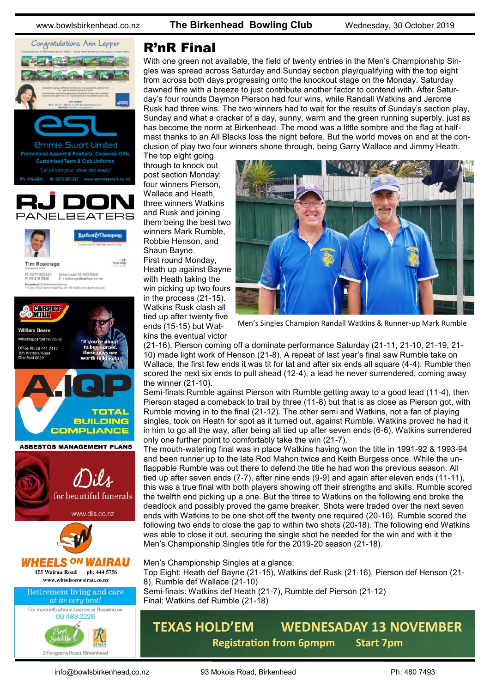www.bowlsbirkenhead.co.nz **The Birkenhead Bowling Club** Wednesday, 30 October 2019



M: 0274 923 125 Birkenhead 09 480 9029<br>P: 09 418 3846 E: troskruge@barfoot.co.nz Birkenhead 24 Britenhead Avenue<br>P O Roy MD77 Robertwart Fox 09 AR0 9008 www.harfoot.co.ex



#### R'nR Final

With one green not available, the field of twenty entries in the Men's Championship Singles was spread across Saturday and Sunday section play/qualifying with the top eight from across both days progressing onto the knockout stage on the Monday. Saturday dawned fine with a breeze to just contribute another factor to contend with. After Saturday's four rounds Daymon Pierson had four wins, while Randall Watkins and Jerome Rusk had three wins. The two winners had to wait for the results of Sunday's section play, Sunday and what a cracker of a day, sunny, warm and the green running superbly, just as has become the norm at Birkenhead. The mood was a little sombre and the flag at halfmast thanks to an All Blacks loss the night before. But the world moves on and at the conclusion of play two four winners shone through, being Garry Wallace and Jimmy Heath.

The top eight going through to knock out post section Monday: four winners Pierson, Wallace and Heath, three winners Watkins and Rusk and joining them being the best two winners Mark Rumble, Robbie Henson, and Shaun Bayne. First round Monday, Heath up against Bayne with Heath taking the win picking up two fours in the process (21-15). Watkins Rusk clash all tied up after twenty five ends (15-15) but Watkins the eventual victor



Men's Singles Champion Randall Watkins & Runner-up Mark Rumble

(21-16). Pierson coming off a dominate performance Saturday (21-11, 21-10, 21-19, 21- 10) made light work of Henson (21-8). A repeat of last year's final saw Rumble take on Wallace, the first few ends it was tit for tat and after six ends all square (4-4). Rumble then scored the next six ends to pull ahead (12-4), a lead he never surrendered, coming away the winner (21-10).

Semi-finals Rumble against Pierson with Rumble getting away to a good lead (11-4), then Pierson staged a comeback to trail by three (11-8) but that is as close as Pierson got, with Rumble moving in to the final (21-12). The other semi and Watkins, not a fan of playing singles, took on Heath for spot as it turned out, against Rumble. Watkins proved he had it in him to go all the way, after being all tied up after seven ends (6-6), Watkins surrendered only one further point to comfortably take the win (21-7).

The mouth-watering final was in place Watkins having won the title in 1991-92 & 1993-94 and been runner up to the late Rod Mahon twice and Keith Burgess once. While the unflappable Rumble was out there to defend the title he had won the previous season. All tied up after seven ends (7-7), after nine ends (9-9) and again after eleven ends (11-11), this was a true final with both players showing off their strengths and skills. Rumble scored the twelfth end picking up a one. But the three to Watkins on the following end broke the deadlock and possibly proved the game breaker. Shots were traded over the next seven ends with Watkins to be one shot off the twenty one required (20-16). Rumble scored the following two ends to close the gap to within two shots (20-18). The following end Watkins was able to close it out, securing the single shot he needed for the win and with it the Men's Championship Singles title for the 2019-20 season (21-18).

Men's Championship Singles at a glance:

Top Eight: Heath def Bayne (21-15), Watkins def Rusk (21-16), Pierson def Henson (21- 8), Rumble def Wallace (21-10) Semi-finals: Watkins def Heath (21-7), Rumble def Pierson (21-12)

Final: Watkins def Rumble (21-18)

#### **TEXAS HOLD'EM WEDNESADAY 13 NOVEMBER Registration from 6pmpm Start 7pm**

2 Rangatira Road, Birkenhead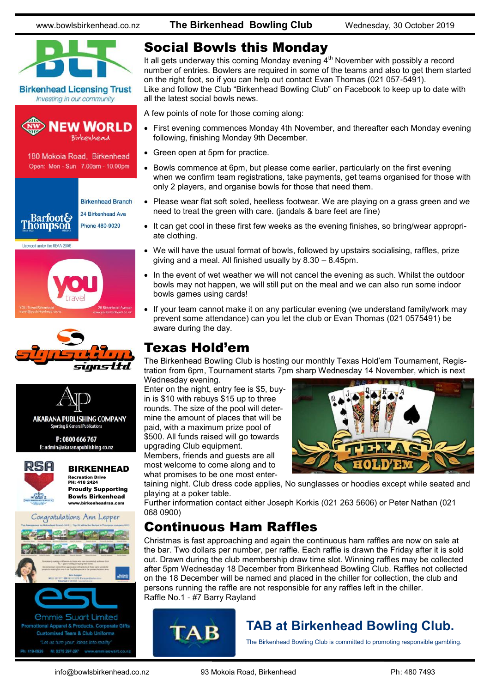www.bowlsbirkenhead.co.nz **The Birkenhead Bowling Club** Wednesday, 30 October 2019









BIRKENHEAD Recreation Drive PH: 418 2424

Proudly Supporting Bowls Birkenhead www.birkenheadrsa.com



Ph: 419-0926 M: 0275 297-297 www.emmieswart.co.na

#### Social Bowls this Monday

It all gets underway this coming Monday evening  $4<sup>th</sup>$  November with possibly a record number of entries. Bowlers are required in some of the teams and also to get them started on the right foot, so if you can help out contact Evan Thomas (021 057-5491). Like and follow the Club "Birkenhead Bowling Club" on Facebook to keep up to date with all the latest social bowls news.

A few points of note for those coming along:

- First evening commences Monday 4th November, and thereafter each Monday evening following, finishing Monday 9th December.
- Green open at 5pm for practice.
- Bowls commence at 6pm, but please come earlier, particularly on the first evening when we confirm team registrations, take payments, get teams organised for those with only 2 players, and organise bowls for those that need them.
- Please wear flat soft soled, heelless footwear. We are playing on a grass green and we need to treat the green with care. (jandals & bare feet are fine)
- It can get cool in these first few weeks as the evening finishes, so bring/wear appropriate clothing.
- We will have the usual format of bowls, followed by upstairs socialising, raffles, prize giving and a meal. All finished usually by 8.30 – 8.45pm.
- In the event of wet weather we will not cancel the evening as such. Whilst the outdoor bowls may not happen, we will still put on the meal and we can also run some indoor bowls games using cards!
- If your team cannot make it on any particular evening (we understand family/work may prevent some attendance) can you let the club or Evan Thomas (021 0575491) be aware during the day.

#### Texas Hold'em

The Birkenhead Bowling Club is hosting our monthly Texas Hold'em Tournament, Registration from 6pm, Tournament starts 7pm sharp Wednesday 14 November, which is next

Wednesday evening. Enter on the night, entry fee is \$5, buyin is \$10 with rebuys \$15 up to three rounds. The size of the pool will determine the amount of places that will be paid, with a maximum prize pool of \$500. All funds raised will go towards upgrading Club equipment.

Members, friends and guests are all most welcome to come along and to

what promises to be one most enter-



taining night. Club dress code applies, No sunglasses or hoodies except while seated and playing at a poker table.

Further information contact either Joseph Korkis (021 263 5606) or Peter Nathan (021 068 0900)

#### Continuous Ham Raffles

Christmas is fast approaching and again the continuous ham raffles are now on sale at the bar. Two dollars per number, per raffle. Each raffle is drawn the Friday after it is sold out. Drawn during the club membership draw time slot. Winning raffles may be collected after 5pm Wednesday 18 December from Birkenhead Bowling Club. Raffles not collected on the 18 December will be named and placed in the chiller for collection, the club and persons running the raffle are not responsible for any raffles left in the chiller. Raffle No.1 - #7 Barry Rayland



#### **TAB at Birkenhead Bowling Club.**

The Birkenhead Bowling Club is committed to promoting responsible gambling.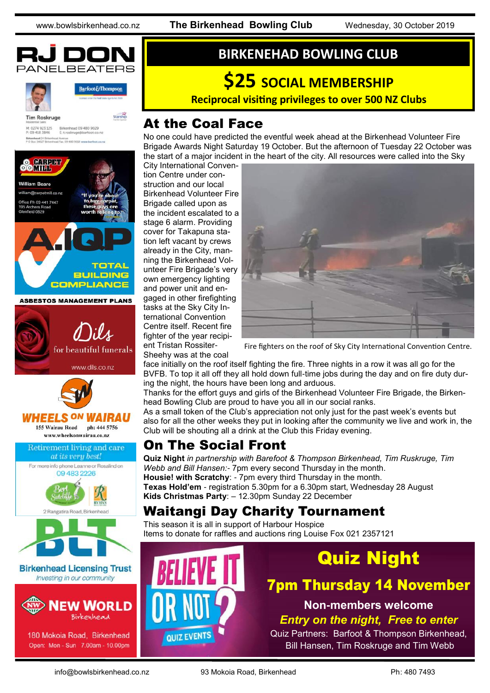



Barfoot&Thompson

**Starship** 

**Tim Roskruge** M: 0274 923 125 Birkenhead 09 480 9029<br>P: 09 418 3846 E: troskruge@barfoot.co.nz



180 Mokoia Road, Birkenhead Open: Mon - Sun 7.00am - 10.00pm

#### **BIRKENEHAD BOWLING CLUB**

# **\$25 SOCIAL MEMBERSHIP**

**Reciprocal visiting privileges to over 500 NZ Clubs** 

#### At the Coal Face

No one could have predicted the eventful week ahead at the Birkenhead Volunteer Fire Brigade Awards Night Saturday 19 October. But the afternoon of Tuesday 22 October was the start of a major incident in the heart of the city. All resources were called into the Sky

City International Convention Centre under construction and our local Birkenhead Volunteer Fire Brigade called upon as the incident escalated to a stage 6 alarm. Providing cover for Takapuna station left vacant by crews already in the City, manning the Birkenhead Volunteer Fire Brigade's very own emergency lighting and power unit and engaged in other firefighting tasks at the Sky City International Convention Centre itself. Recent fire fighter of the year recipient Tristan Rossiter-Sheehy was at the coal



Fire fighters on the roof of Sky City International Convention Centre.

face initially on the roof itself fighting the fire. Three nights in a row it was all go for the BVFB. To top it all off they all hold down full-time jobs during the day and on fire duty during the night, the hours have been long and arduous.

Thanks for the effort guys and girls of the Birkenhead Volunteer Fire Brigade, the Birkenhead Bowling Club are proud to have you all in our social ranks.

As a small token of the Club's appreciation not only just for the past week's events but also for all the other weeks they put in looking after the community we live and work in, the Club will be shouting all a drink at the Club this Friday evening.

#### On The Social Front

**Quiz Night** *in partnership with Barefoot & Thompson Birkenhead, Tim Ruskruge, Tim Webb and Bill Hansen:-* 7pm every second Thursday in the month. **Housie! with Scratchy**: - 7pm every third Thursday in the month. **Texas Hold'em** - registration 5.30pm for a 6.30pm start, Wednesday 28 August **Kids Christmas Party**: – 12.30pm Sunday 22 December

#### Waitangi Day Charity Tournament

This season it is all in support of Harbour Hospice Items to donate for raffles and auctions ring Louise Fox 021 2357121



## Quiz Night

## 7pm Thursday 14 November

**Non-members welcome**

*Entry on the night, Free to enter*

Quiz Partners: Barfoot & Thompson Birkenhead, Bill Hansen, Tim Roskruge and Tim Webb